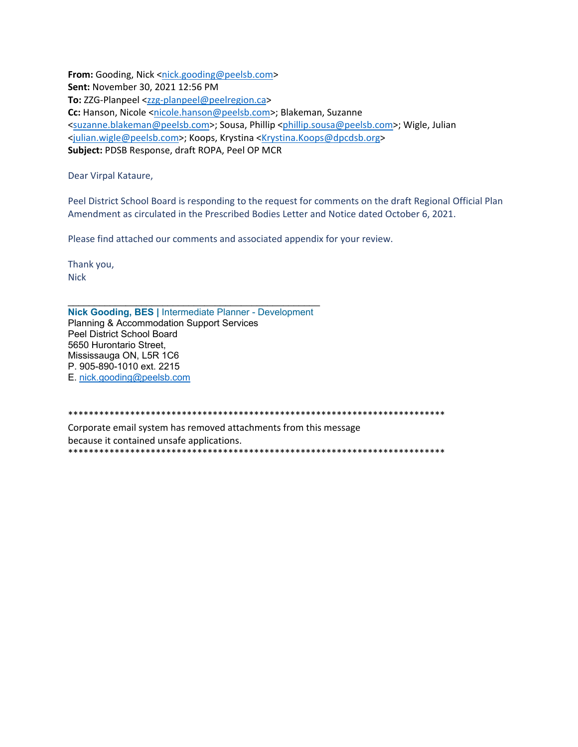**From:** Gooding, Nick <nick.gooding@peelsb.com> **Sent:** November 30, 2021 12:56 PM **To:** ZZG‐Planpeel <zzg‐planpeel@peelregion.ca> Cc: Hanson, Nicole <nicole.hanson@peelsb.com>; Blakeman, Suzanne <suzanne.blakeman@peelsb.com>; Sousa, Phillip <phillip.sousa@peelsb.com>; Wigle, Julian <julian.wigle@peelsb.com>; Koops, Krystina <Krystina.Koops@dpcdsb.org> **Subject:** PDSB Response, draft ROPA, Peel OP MCR

Dear Virpal Kataure,

Peel District School Board is responding to the request for comments on the draft Regional Official Plan Amendment as circulated in the Prescribed Bodies Letter and Notice dated October 6, 2021.

Please find attached our comments and associated appendix for your review.

Thank you, **Nick** 

**Nick Gooding, BES |** Intermediate Planner - Development Planning & Accommodation Support Services Peel District School Board 5650 Hurontario Street, Mississauga ON, L5R 1C6 P. 905-890-1010 ext. 2215 E. nick.gooding@peelsb.com

\*\*\*\*\*\*\*\*\*\*\*\*\*\*\*\*\*\*\*\*\*\*\*\*\*\*\*\*\*\*\*\*\*\*\*\*\*\*\*\*\*\*\*\*\*\*\*\*\*\*\*\*\*\*\*\*\*\*\*\*\*\*\*\*\*\*\*\*\*\*\*\*\* Corporate email system has removed attachments from this message because it contained unsafe applications. \*\*\*\*\*\*\*\*\*\*\*\*\*\*\*\*\*\*\*\*\*\*\*\*\*\*\*\*\*\*\*\*\*\*\*\*\*\*\*\*\*\*\*\*\*\*\*\*\*\*\*\*\*\*\*\*\*\*\*\*\*\*\*\*\*\*\*\*\*\*\*\*\*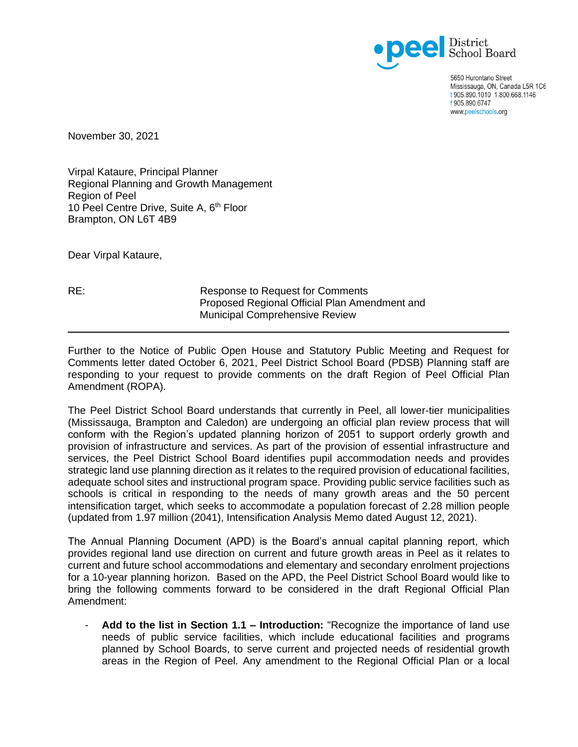

5650 Hurontario Street Mississauga, ON, Canada L5R 1C6 t 905.890.1010 1.800.668.1146 f 905.890.6747 www.peelschools.org

November 30, 2021

Virpal Kataure, Principal Planner Regional Planning and Growth Management Region of Peel 10 Peel Centre Drive, Suite A, 6<sup>th</sup> Floor Brampton, ON L6T 4B9

Dear Virpal Kataure,

RE: Response to Request for Comments Proposed Regional Official Plan Amendment and Municipal Comprehensive Review

Further to the Notice of Public Open House and Statutory Public Meeting and Request for Comments letter dated October 6, 2021, Peel District School Board (PDSB) Planning staff are responding to your request to provide comments on the draft Region of Peel Official Plan Amendment (ROPA).

The Peel District School Board understands that currently in Peel, all lower-tier municipalities (Mississauga, Brampton and Caledon) are undergoing an official plan review process that will conform with the Region's updated planning horizon of 2051 to support orderly growth and provision of infrastructure and services. As part of the provision of essential infrastructure and services, the Peel District School Board identifies pupil accommodation needs and provides strategic land use planning direction as it relates to the required provision of educational facilities, adequate school sites and instructional program space. Providing public service facilities such as schools is critical in responding to the needs of many growth areas and the 50 percent intensification target, which seeks to accommodate a population forecast of 2.28 million people (updated from 1.97 million (2041), Intensification Analysis Memo dated August 12, 2021).

The Annual Planning Document (APD) is the Board's annual capital planning report, which provides regional land use direction on current and future growth areas in Peel as it relates to current and future school accommodations and elementary and secondary enrolment projections for a 10-year planning horizon. Based on the APD, the Peel District School Board would like to bring the following comments forward to be considered in the draft Regional Official Plan Amendment:

- **Add to the list in Section 1.1 – Introduction:** "Recognize the importance of land use needs of public service facilities, which include educational facilities and programs planned by School Boards, to serve current and projected needs of residential growth areas in the Region of Peel. Any amendment to the Regional Official Plan or a local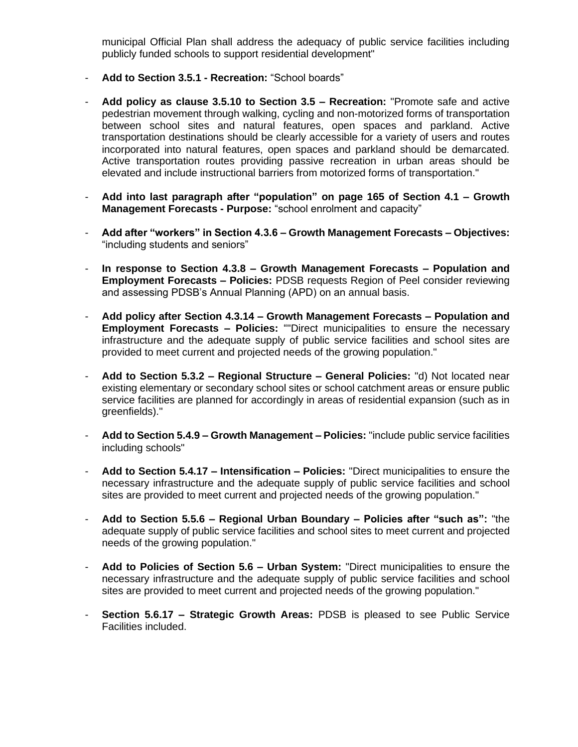municipal Official Plan shall address the adequacy of public service facilities including publicly funded schools to support residential development"

- **Add to Section 3.5.1 - Recreation:** "School boards"
- **Add policy as clause 3.5.10 to Section 3.5 – Recreation:** "Promote safe and active pedestrian movement through walking, cycling and non-motorized forms of transportation between school sites and natural features, open spaces and parkland. Active transportation destinations should be clearly accessible for a variety of users and routes incorporated into natural features, open spaces and parkland should be demarcated. Active transportation routes providing passive recreation in urban areas should be elevated and include instructional barriers from motorized forms of transportation."
- **Add into last paragraph after "population" on page 165 of Section 4.1 – Growth Management Forecasts - Purpose:** "school enrolment and capacity"
- **Add after "workers" in Section 4.3.6 – Growth Management Forecasts – Objectives:** "including students and seniors"
- **In response to Section 4.3.8 – Growth Management Forecasts – Population and Employment Forecasts – Policies:** PDSB requests Region of Peel consider reviewing and assessing PDSB's Annual Planning (APD) on an annual basis.
- **Add policy after Section 4.3.14 – Growth Management Forecasts – Population and Employment Forecasts – Policies:** ""Direct municipalities to ensure the necessary infrastructure and the adequate supply of public service facilities and school sites are provided to meet current and projected needs of the growing population."
- **Add to Section 5.3.2 – Regional Structure – General Policies:** "d) Not located near existing elementary or secondary school sites or school catchment areas or ensure public service facilities are planned for accordingly in areas of residential expansion (such as in greenfields)."
- **Add to Section 5.4.9 – Growth Management – Policies:** "include public service facilities including schools"
- **Add to Section 5.4.17 – Intensification – Policies:** "Direct municipalities to ensure the necessary infrastructure and the adequate supply of public service facilities and school sites are provided to meet current and projected needs of the growing population."
- **Add to Section 5.5.6 – Regional Urban Boundary – Policies after "such as":** "the adequate supply of public service facilities and school sites to meet current and projected needs of the growing population."
- **Add to Policies of Section 5.6 – Urban System:** "Direct municipalities to ensure the necessary infrastructure and the adequate supply of public service facilities and school sites are provided to meet current and projected needs of the growing population."
- **Section 5.6.17 – Strategic Growth Areas:** PDSB is pleased to see Public Service Facilities included.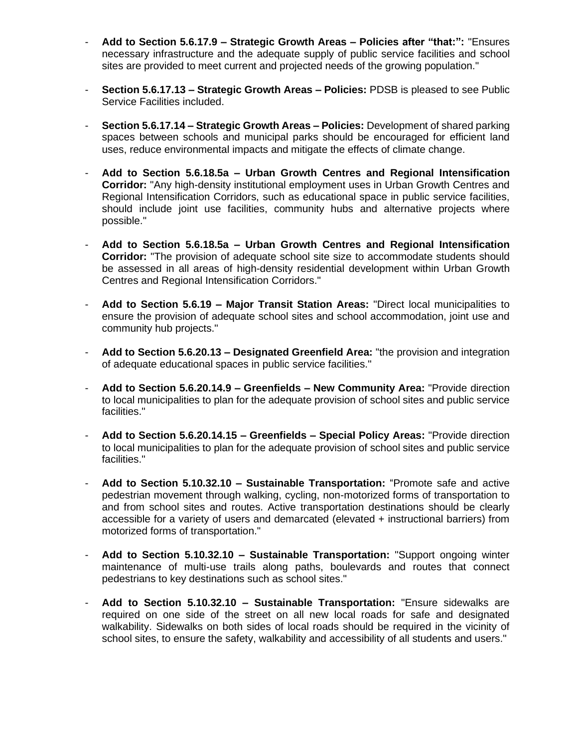- **Add to Section 5.6.17.9 – Strategic Growth Areas – Policies after "that:":** "Ensures necessary infrastructure and the adequate supply of public service facilities and school sites are provided to meet current and projected needs of the growing population."
- **Section 5.6.17.13 – Strategic Growth Areas – Policies:** PDSB is pleased to see Public Service Facilities included.
- **Section 5.6.17.14 – Strategic Growth Areas – Policies:** Development of shared parking spaces between schools and municipal parks should be encouraged for efficient land uses, reduce environmental impacts and mitigate the effects of climate change.
- **Add to Section 5.6.18.5a – Urban Growth Centres and Regional Intensification Corridor:** "Any high-density institutional employment uses in Urban Growth Centres and Regional Intensification Corridors, such as educational space in public service facilities, should include joint use facilities, community hubs and alternative projects where possible."
- **Add to Section 5.6.18.5a – Urban Growth Centres and Regional Intensification Corridor:** "The provision of adequate school site size to accommodate students should be assessed in all areas of high-density residential development within Urban Growth Centres and Regional Intensification Corridors."
- **Add to Section 5.6.19 – Major Transit Station Areas:** "Direct local municipalities to ensure the provision of adequate school sites and school accommodation, joint use and community hub projects."
- **Add to Section 5.6.20.13 – Designated Greenfield Area:** "the provision and integration of adequate educational spaces in public service facilities."
- **Add to Section 5.6.20.14.9 – Greenfields – New Community Area:** "Provide direction to local municipalities to plan for the adequate provision of school sites and public service facilities."
- **Add to Section 5.6.20.14.15 – Greenfields – Special Policy Areas:** "Provide direction to local municipalities to plan for the adequate provision of school sites and public service facilities."
- **Add to Section 5.10.32.10 – Sustainable Transportation:** "Promote safe and active pedestrian movement through walking, cycling, non-motorized forms of transportation to and from school sites and routes. Active transportation destinations should be clearly accessible for a variety of users and demarcated (elevated + instructional barriers) from motorized forms of transportation."
- **Add to Section 5.10.32.10 – Sustainable Transportation:** "Support ongoing winter maintenance of multi-use trails along paths, boulevards and routes that connect pedestrians to key destinations such as school sites."
- **Add to Section 5.10.32.10 – Sustainable Transportation:** "Ensure sidewalks are required on one side of the street on all new local roads for safe and designated walkability. Sidewalks on both sides of local roads should be required in the vicinity of school sites, to ensure the safety, walkability and accessibility of all students and users."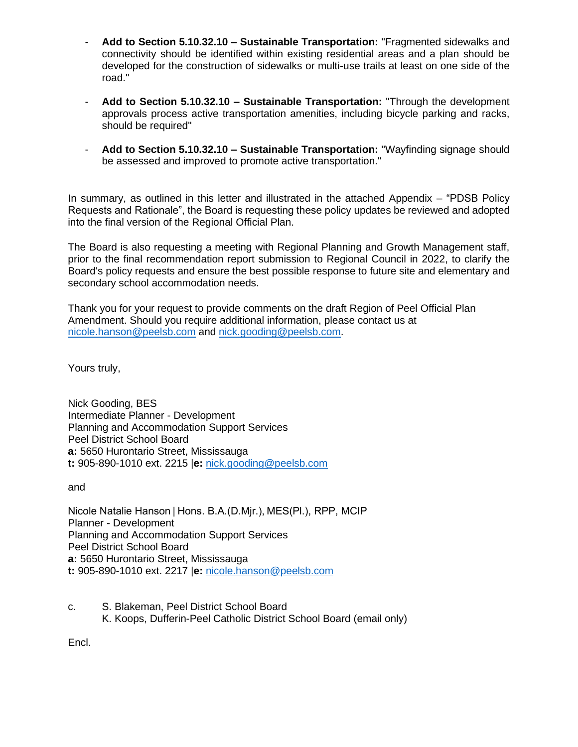- **Add to Section 5.10.32.10 – Sustainable Transportation:** "Fragmented sidewalks and connectivity should be identified within existing residential areas and a plan should be developed for the construction of sidewalks or multi-use trails at least on one side of the road."
- **Add to Section 5.10.32.10 – Sustainable Transportation:** "Through the development approvals process active transportation amenities, including bicycle parking and racks, should be required"
- **Add to Section 5.10.32.10 – Sustainable Transportation:** "Wayfinding signage should be assessed and improved to promote active transportation."

In summary, as outlined in this letter and illustrated in the attached Appendix – "PDSB Policy Requests and Rationale", the Board is requesting these policy updates be reviewed and adopted into the final version of the Regional Official Plan.

The Board is also requesting a meeting with Regional Planning and Growth Management staff, prior to the final recommendation report submission to Regional Council in 2022, to clarify the Board's policy requests and ensure the best possible response to future site and elementary and secondary school accommodation needs.

Thank you for your request to provide comments on the draft Region of Peel Official Plan Amendment. Should you require additional information, please contact us at [nicole.hanson@peelsb.com](mailto:nicole.hanson@peelsb.com) and [nick.gooding@peelsb.com.](mailto:nick.gooding@peelsb.com)

Yours truly,

Nick Gooding, BES Intermediate Planner - Development Planning and Accommodation Support Services Peel District School Board **a:** 5650 Hurontario Street, Mississauga **t:** 905-890-1010 ext. 2215 |**e:** [nick.gooding@peelsb.com](mailto:nicole.hanson@peelsb.com)

and

Nicole Natalie Hanson | Hons. B.A.(D.Mjr.), MES(Pl.), RPP, MCIP Planner - Development Planning and Accommodation Support Services Peel District School Board **a:** 5650 Hurontario Street, Mississauga **t:** 905-890-1010 ext. 2217 |**e:** [nicole.hanson@peelsb.com](mailto:nicole.hanson@peelsb.com)

c. S. Blakeman, Peel District School Board K. Koops, Dufferin-Peel Catholic District School Board (email only)

Encl.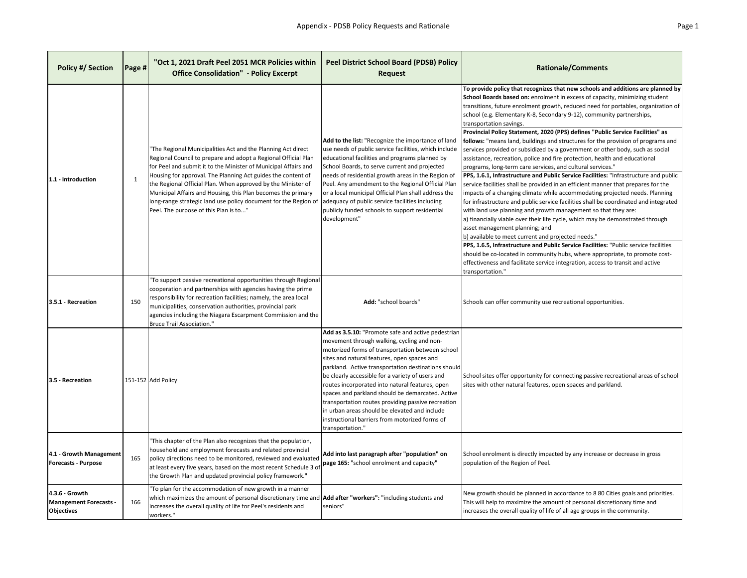| Policy #/ Section                                                    | Page # | "Oct 1, 2021 Draft Peel 2051 MCR Policies within<br><b>Office Consolidation" - Policy Excerpt</b>                                                                                                                                                                                                                                                                                                                                                                                                             | <b>Peel District School Board (PDSB) Policy</b><br><b>Request</b>                                                                                                                                                                                                                                                                                                                                                                                                                                                                                                                                  | <b>Rationale/Comments</b>                                                                                                                                                                                                                                                                                                                                                                                                                                                                                                                                                                                                                                                                                                                                                                                                                                                                                                                                                                                                                                                                                                                                                                                                                                                                                                                                                                                                                                                                                                                                                                                                               |
|----------------------------------------------------------------------|--------|---------------------------------------------------------------------------------------------------------------------------------------------------------------------------------------------------------------------------------------------------------------------------------------------------------------------------------------------------------------------------------------------------------------------------------------------------------------------------------------------------------------|----------------------------------------------------------------------------------------------------------------------------------------------------------------------------------------------------------------------------------------------------------------------------------------------------------------------------------------------------------------------------------------------------------------------------------------------------------------------------------------------------------------------------------------------------------------------------------------------------|-----------------------------------------------------------------------------------------------------------------------------------------------------------------------------------------------------------------------------------------------------------------------------------------------------------------------------------------------------------------------------------------------------------------------------------------------------------------------------------------------------------------------------------------------------------------------------------------------------------------------------------------------------------------------------------------------------------------------------------------------------------------------------------------------------------------------------------------------------------------------------------------------------------------------------------------------------------------------------------------------------------------------------------------------------------------------------------------------------------------------------------------------------------------------------------------------------------------------------------------------------------------------------------------------------------------------------------------------------------------------------------------------------------------------------------------------------------------------------------------------------------------------------------------------------------------------------------------------------------------------------------------|
| 1.1 - Introduction                                                   | 1      | "The Regional Municipalities Act and the Planning Act direct<br>Regional Council to prepare and adopt a Regional Official Plan<br>for Peel and submit it to the Minister of Municipal Affairs and<br>Housing for approval. The Planning Act guides the content of<br>the Regional Official Plan. When approved by the Minister of<br>Municipal Affairs and Housing, this Plan becomes the primary<br>long-range strategic land use policy document for the Region of<br>Peel. The purpose of this Plan is to" | Add to the list: "Recognize the importance of land<br>use needs of public service facilities, which include<br>educational facilities and programs planned by<br>School Boards, to serve current and projected<br>needs of residential growth areas in the Region of<br>Peel. Any amendment to the Regional Official Plan<br>or a local municipal Official Plan shall address the<br>adequacy of public service facilities including<br>publicly funded schools to support residential<br>development"                                                                                             | To provide policy that recognizes that new schools and additions are planned by<br>School Boards based on: enrolment in excess of capacity, minimizing student<br>transitions, future enrolment growth, reduced need for portables, organization of<br>school (e.g. Elementary K-8, Secondary 9-12), community partnerships,<br>transportation savings.<br>Provincial Policy Statement, 2020 (PPS) defines "Public Service Facilities" as<br>follows: "means land, buildings and structures for the provision of programs and<br>services provided or subsidized by a government or other body, such as social<br>assistance, recreation, police and fire protection, health and educational<br>programs, long-term care services, and cultural services."<br>PPS, 1.6.1, Infrastructure and Public Service Facilities: "Infrastructure and public<br>service facilities shall be provided in an efficient manner that prepares for the<br>impacts of a changing climate while accommodating projected needs. Planning<br>for infrastructure and public service facilities shall be coordinated and integrated<br>with land use planning and growth management so that they are:<br>a) financially viable over their life cycle, which may be demonstrated through<br>asset management planning; and<br>b) available to meet current and projected needs."<br>PPS, 1.6.5, Infrastructure and Public Service Facilities: "Public service facilities<br>should be co-located in community hubs, where appropriate, to promote cost-<br>effectiveness and facilitate service integration, access to transit and active<br>transportation.' |
| 3.5.1 - Recreation                                                   | 150    | 'To support passive recreational opportunities through Regional<br>cooperation and partnerships with agencies having the prime<br>responsibility for recreation facilities; namely, the area local<br>municipalities, conservation authorities, provincial park<br>agencies including the Niagara Escarpment Commission and the<br><b>Bruce Trail Association."</b>                                                                                                                                           | Add: "school boards"                                                                                                                                                                                                                                                                                                                                                                                                                                                                                                                                                                               | Schools can offer community use recreational opportunities.                                                                                                                                                                                                                                                                                                                                                                                                                                                                                                                                                                                                                                                                                                                                                                                                                                                                                                                                                                                                                                                                                                                                                                                                                                                                                                                                                                                                                                                                                                                                                                             |
| 3.5 - Recreation                                                     |        | 151-152 Add Policy                                                                                                                                                                                                                                                                                                                                                                                                                                                                                            | Add as 3.5.10: "Promote safe and active pedestrian<br>movement through walking, cycling and non-<br>motorized forms of transportation between school<br>sites and natural features, open spaces and<br>parkland. Active transportation destinations should<br>be clearly accessible for a variety of users and<br>routes incorporated into natural features, open<br>spaces and parkland should be demarcated. Active<br>transportation routes providing passive recreation<br>in urban areas should be elevated and include<br>instructional barriers from motorized forms of<br>transportation." | School sites offer opportunity for connecting passive recreational areas of school<br>sites with other natural features, open spaces and parkland.                                                                                                                                                                                                                                                                                                                                                                                                                                                                                                                                                                                                                                                                                                                                                                                                                                                                                                                                                                                                                                                                                                                                                                                                                                                                                                                                                                                                                                                                                      |
| 4.1 - Growth Management<br><b>Forecasts - Purpose</b>                | 165    | 'This chapter of the Plan also recognizes that the population,<br>household and employment forecasts and related provincial<br>policy directions need to be monitored, reviewed and evaluated<br>at least every five years, based on the most recent Schedule 3 of<br>the Growth Plan and updated provincial policy framework."                                                                                                                                                                               | Add into last paragraph after "population" on<br>page 165: "school enrolment and capacity"                                                                                                                                                                                                                                                                                                                                                                                                                                                                                                         | School enrolment is directly impacted by any increase or decrease in gross<br>population of the Region of Peel.                                                                                                                                                                                                                                                                                                                                                                                                                                                                                                                                                                                                                                                                                                                                                                                                                                                                                                                                                                                                                                                                                                                                                                                                                                                                                                                                                                                                                                                                                                                         |
| 4.3.6 - Growth<br><b>Management Forecasts -</b><br><b>Objectives</b> | 166    | 'To plan for the accommodation of new growth in a manner<br>which maximizes the amount of personal discretionary time and Add after "workers": "including students and<br>increases the overall quality of life for Peel's residents and<br>workers."                                                                                                                                                                                                                                                         | seniors"                                                                                                                                                                                                                                                                                                                                                                                                                                                                                                                                                                                           | New growth should be planned in accordance to 8 80 Cities goals and priorities.<br>This will help to maximize the amount of personal discretionary time and<br>increases the overall quality of life of all age groups in the community.                                                                                                                                                                                                                                                                                                                                                                                                                                                                                                                                                                                                                                                                                                                                                                                                                                                                                                                                                                                                                                                                                                                                                                                                                                                                                                                                                                                                |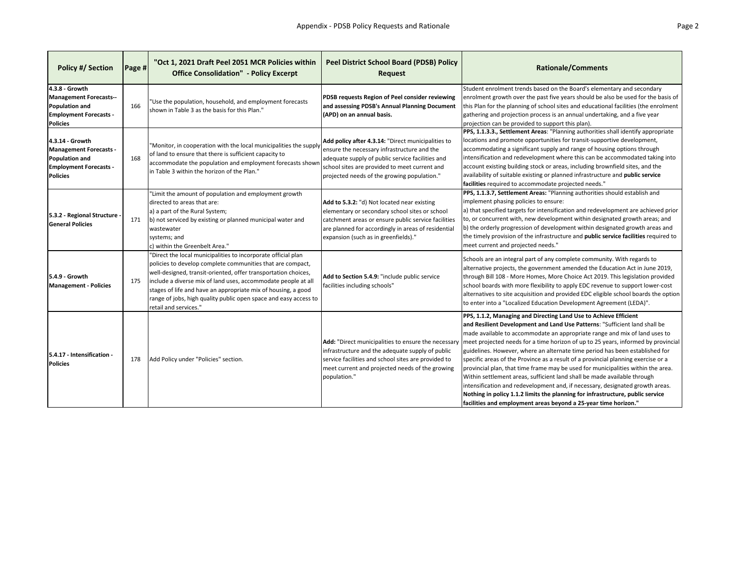| <b>Policy #/ Section</b>                                                                                                      | Page # | "Oct 1, 2021 Draft Peel 2051 MCR Policies within<br><b>Office Consolidation" - Policy Excerpt</b>                                                                                                                                                                                                                                                                                                                            | <b>Peel District School Board (PDSB) Policy</b><br><b>Request</b>                                                                                                                                                                                     | <b>Rationale/Comments</b>                                                                                                                                                                                                                                                                                                                                                                                                                                                                                                                                                                                                                                                                                                                                                                                                                                                                    |
|-------------------------------------------------------------------------------------------------------------------------------|--------|------------------------------------------------------------------------------------------------------------------------------------------------------------------------------------------------------------------------------------------------------------------------------------------------------------------------------------------------------------------------------------------------------------------------------|-------------------------------------------------------------------------------------------------------------------------------------------------------------------------------------------------------------------------------------------------------|----------------------------------------------------------------------------------------------------------------------------------------------------------------------------------------------------------------------------------------------------------------------------------------------------------------------------------------------------------------------------------------------------------------------------------------------------------------------------------------------------------------------------------------------------------------------------------------------------------------------------------------------------------------------------------------------------------------------------------------------------------------------------------------------------------------------------------------------------------------------------------------------|
| 4.3.8 - Growth<br><b>Management Forecasts--</b><br>Population and<br><b>Employment Forecasts -</b><br><b>Policies</b>         | 166    | "Use the population, household, and employment forecasts<br>shown in Table 3 as the basis for this Plan."                                                                                                                                                                                                                                                                                                                    | PDSB requests Region of Peel consider reviewing<br>and assessing PDSB's Annual Planning Document<br>(APD) on an annual basis.                                                                                                                         | Student enrolment trends based on the Board's elementary and secondary<br>enrolment growth over the past five years should be also be used for the basis of<br>this Plan for the planning of school sites and educational facilities (the enrolment<br>gathering and projection process is an annual undertaking, and a five year<br>projection can be provided to support this plan).                                                                                                                                                                                                                                                                                                                                                                                                                                                                                                       |
| 4.3.14 - Growth<br><b>Management Forecasts -</b><br><b>Population and</b><br><b>Employment Forecasts -</b><br><b>Policies</b> | 168    | "Monitor, in cooperation with the local municipalities the supply<br>of land to ensure that there is sufficient capacity to<br>accommodate the population and employment forecasts shown<br>in Table 3 within the horizon of the Plan."                                                                                                                                                                                      | Add policy after 4.3.14: "Direct municipalities to<br>ensure the necessary infrastructure and the<br>adequate supply of public service facilities and<br>school sites are provided to meet current and<br>projected needs of the growing population." | PPS, 1.1.3.3., Settlement Areas: "Planning authorities shall identify appropriate<br>locations and promote opportunities for transit-supportive development,<br>accommodating a significant supply and range of housing options through<br>intensification and redevelopment where this can be accommodated taking into<br>account existing building stock or areas, including brownfield sites, and the<br>availability of suitable existing or planned infrastructure and public service<br>facilities required to accommodate projected needs."                                                                                                                                                                                                                                                                                                                                           |
| 5.3.2 - Regional Structure<br><b>General Policies</b>                                                                         | 171    | "Limit the amount of population and employment growth<br>directed to areas that are:<br>a) a part of the Rural System;<br>b) not serviced by existing or planned municipal water and<br>wastewater<br>systems; and<br>c) within the Greenbelt Area."                                                                                                                                                                         | Add to 5.3.2: "d) Not located near existing<br>elementary or secondary school sites or school<br>catchment areas or ensure public service facilities<br>are planned for accordingly in areas of residential<br>expansion (such as in greenfields)."   | PPS, 1.1.3.7, Settlement Areas: "Planning authorities should establish and<br>implement phasing policies to ensure:<br>a) that specified targets for intensification and redevelopment are achieved prior<br>to, or concurrent with, new development within designated growth areas; and<br>b) the orderly progression of development within designated growth areas and<br>the timely provision of the infrastructure and public service facilities required to<br>meet current and projected needs."                                                                                                                                                                                                                                                                                                                                                                                       |
| 5.4.9 - Growth<br><b>Management - Policies</b>                                                                                | 175    | "Direct the local municipalities to incorporate official plan<br>policies to develop complete communities that are compact,<br>well-designed, transit-oriented, offer transportation choices,<br>include a diverse mix of land uses, accommodate people at all<br>stages of life and have an appropriate mix of housing, a good<br>range of jobs, high quality public open space and easy access to<br>retail and services." | Add to Section 5.4.9: "include public service<br>facilities including schools"                                                                                                                                                                        | Schools are an integral part of any complete community. With regards to<br>alternative projects, the government amended the Education Act in June 2019,<br>through Bill 108 - More Homes, More Choice Act 2019. This legislation provided<br>school boards with more flexibility to apply EDC revenue to support lower-cost<br>alternatives to site acquisition and provided EDC eligible school boards the option<br>to enter into a "Localized Education Development Agreement (LEDA)".                                                                                                                                                                                                                                                                                                                                                                                                    |
| 5.4.17 - Intensification -<br><b>Policies</b>                                                                                 | 178    | Add Policy under "Policies" section.                                                                                                                                                                                                                                                                                                                                                                                         | Add: "Direct municipalities to ensure the necessary<br>infrastructure and the adequate supply of public<br>service facilities and school sites are provided to<br>meet current and projected needs of the growing<br>population."                     | PPS, 1.1.2, Managing and Directing Land Use to Achieve Efficient<br>and Resilient Development and Land Use Patterns: "Sufficient land shall be<br>made available to accommodate an appropriate range and mix of land uses to<br>meet projected needs for a time horizon of up to 25 years, informed by provincial<br>guidelines. However, where an alternate time period has been established for<br>specific areas of the Province as a result of a provincial planning exercise or a<br>provincial plan, that time frame may be used for municipalities within the area.<br>Within settlement areas, sufficient land shall be made available through<br>intensification and redevelopment and, if necessary, designated growth areas.<br>Nothing in policy 1.1.2 limits the planning for infrastructure, public service<br>facilities and employment areas beyond a 25-year time horizon." |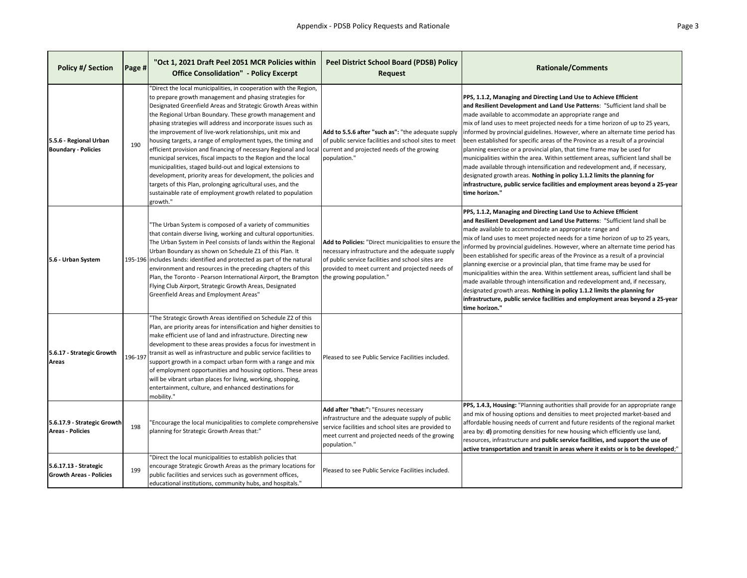| <b>Policy #/ Section</b>                                | Page #  | "Oct 1, 2021 Draft Peel 2051 MCR Policies within<br><b>Office Consolidation" - Policy Excerpt</b>                                                                                                                                                                                                                                                                                                                                                                                                                                                                                                                                                                                                                                                                                                                                                                       | <b>Peel District School Board (PDSB) Policy</b><br><b>Request</b>                                                                                                                                                                             | <b>Rationale/Comments</b>                                                                                                                                                                                                                                                                                                                                                                                                                                                                                                                                                                                                                                                                                                                                                                                                                                                                       |
|---------------------------------------------------------|---------|-------------------------------------------------------------------------------------------------------------------------------------------------------------------------------------------------------------------------------------------------------------------------------------------------------------------------------------------------------------------------------------------------------------------------------------------------------------------------------------------------------------------------------------------------------------------------------------------------------------------------------------------------------------------------------------------------------------------------------------------------------------------------------------------------------------------------------------------------------------------------|-----------------------------------------------------------------------------------------------------------------------------------------------------------------------------------------------------------------------------------------------|-------------------------------------------------------------------------------------------------------------------------------------------------------------------------------------------------------------------------------------------------------------------------------------------------------------------------------------------------------------------------------------------------------------------------------------------------------------------------------------------------------------------------------------------------------------------------------------------------------------------------------------------------------------------------------------------------------------------------------------------------------------------------------------------------------------------------------------------------------------------------------------------------|
| 5.5.6 - Regional Urban<br><b>Boundary - Policies</b>    | 190     | "Direct the local municipalities, in cooperation with the Region,<br>to prepare growth management and phasing strategies for<br>Designated Greenfield Areas and Strategic Growth Areas within<br>the Regional Urban Boundary. These growth management and<br>phasing strategies will address and incorporate issues such as<br>the improvement of live-work relationships, unit mix and<br>housing targets, a range of employment types, the timing and<br>efficient provision and financing of necessary Regional and local<br>municipal services, fiscal impacts to the Region and the local<br>municipalities, staged build-out and logical extensions to<br>development, priority areas for development, the policies and<br>targets of this Plan, prolonging agricultural uses, and the<br>sustainable rate of employment growth related to population<br>growth." | Add to 5.5.6 after "such as": "the adequate supply<br>of public service facilities and school sites to meet<br>current and projected needs of the growing<br>population."                                                                     | PPS, 1.1.2, Managing and Directing Land Use to Achieve Efficient<br>and Resilient Development and Land Use Patterns: "Sufficient land shall be<br>made available to accommodate an appropriate range and<br>mix of land uses to meet projected needs for a time horizon of up to 25 years,<br>informed by provincial guidelines. However, where an alternate time period has<br>been established for specific areas of the Province as a result of a provincial<br>planning exercise or a provincial plan, that time frame may be used for<br>municipalities within the area. Within settlement areas, sufficient land shall be<br>made available through intensification and redevelopment and, if necessary,<br>designated growth areas. Nothing in policy 1.1.2 limits the planning for<br>infrastructure, public service facilities and employment areas beyond a 25-year<br>time horizon." |
| 5.6 - Urban System                                      |         | 'The Urban System is composed of a variety of communities<br>that contain diverse living, working and cultural opportunities.<br>The Urban System in Peel consists of lands within the Regional<br>Urban Boundary as shown on Schedule Z1 of this Plan. It<br>195-196 includes lands: identified and protected as part of the natural<br>environment and resources in the preceding chapters of this<br>Plan, the Toronto - Pearson International Airport, the Brampton<br>Flying Club Airport, Strategic Growth Areas, Designated<br>Greenfield Areas and Employment Areas"                                                                                                                                                                                                                                                                                            | Add to Policies: "Direct municipalities to ensure the<br>necessary infrastructure and the adequate supply<br>of public service facilities and school sites are<br>provided to meet current and projected needs of<br>the growing population." | PPS, 1.1.2, Managing and Directing Land Use to Achieve Efficient<br>and Resilient Development and Land Use Patterns: "Sufficient land shall be<br>made available to accommodate an appropriate range and<br>mix of land uses to meet projected needs for a time horizon of up to 25 years,<br>informed by provincial guidelines. However, where an alternate time period has<br>been established for specific areas of the Province as a result of a provincial<br>planning exercise or a provincial plan, that time frame may be used for<br>municipalities within the area. Within settlement areas, sufficient land shall be<br>made available through intensification and redevelopment and, if necessary,<br>designated growth areas. Nothing in policy 1.1.2 limits the planning for<br>infrastructure, public service facilities and employment areas beyond a 25-year<br>time horizon." |
| 5.6.17 - Strategic Growth<br>Areas                      | 196-197 | 'The Strategic Growth Areas identified on Schedule Z2 of this<br>Plan, are priority areas for intensification and higher densities to<br>make efficient use of land and infrastructure. Directing new<br>development to these areas provides a focus for investment in<br>transit as well as infrastructure and public service facilities to<br>support growth in a compact urban form with a range and mix<br>of employment opportunities and housing options. These areas<br>will be vibrant urban places for living, working, shopping,<br>entertainment, culture, and enhanced destinations for<br>mobility."                                                                                                                                                                                                                                                       | Pleased to see Public Service Facilities included.                                                                                                                                                                                            |                                                                                                                                                                                                                                                                                                                                                                                                                                                                                                                                                                                                                                                                                                                                                                                                                                                                                                 |
| 5.6.17.9 - Strategic Growth<br><b>Areas - Policies</b>  | 198     | "Encourage the local municipalities to complete comprehensive<br>planning for Strategic Growth Areas that:"                                                                                                                                                                                                                                                                                                                                                                                                                                                                                                                                                                                                                                                                                                                                                             | Add after "that:": "Ensures necessary<br>infrastructure and the adequate supply of public<br>service facilities and school sites are provided to<br>meet current and projected needs of the growing<br>population."                           | PPS, 1.4.3, Housing: "Planning authorities shall provide for an appropriate range<br>and mix of housing options and densities to meet projected market-based and<br>affordable housing needs of current and future residents of the regional market<br>area by: d) promoting densities for new housing which efficiently use land,<br>resources, infrastructure and public service facilities, and support the use of<br>active transportation and transit in areas where it exists or is to be developed;"                                                                                                                                                                                                                                                                                                                                                                                     |
| 5.6.17.13 - Strategic<br><b>Growth Areas - Policies</b> | 199     | "Direct the local municipalities to establish policies that<br>encourage Strategic Growth Areas as the primary locations for<br>public facilities and services such as government offices,<br>educational institutions, community hubs, and hospitals."                                                                                                                                                                                                                                                                                                                                                                                                                                                                                                                                                                                                                 | Pleased to see Public Service Facilities included.                                                                                                                                                                                            |                                                                                                                                                                                                                                                                                                                                                                                                                                                                                                                                                                                                                                                                                                                                                                                                                                                                                                 |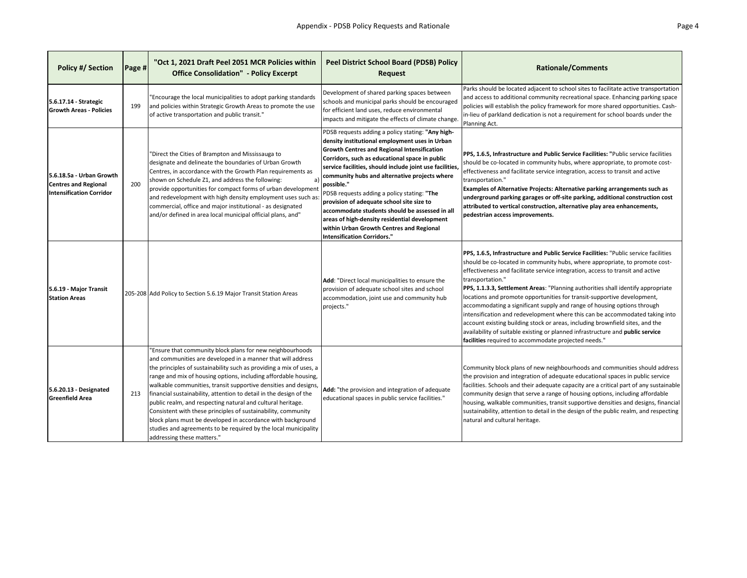| <b>Policy #/ Section</b>                                                                   | <b>Page #</b> | "Oct 1, 2021 Draft Peel 2051 MCR Policies within<br><b>Office Consolidation" - Policy Excerpt</b>                                                                                                                                                                                                                                                                                                                                                                                                                                                                                                                                                                                                           | <b>Peel District School Board (PDSB) Policy</b><br><b>Request</b>                                                                                                                                                                                                                                                                                                                                                                                                                                                                                                                                                      | <b>Rationale/Comments</b>                                                                                                                                                                                                                                                                                                                                                                                                                                                                                                                                                                                                                                                                                                                                                                                                      |
|--------------------------------------------------------------------------------------------|---------------|-------------------------------------------------------------------------------------------------------------------------------------------------------------------------------------------------------------------------------------------------------------------------------------------------------------------------------------------------------------------------------------------------------------------------------------------------------------------------------------------------------------------------------------------------------------------------------------------------------------------------------------------------------------------------------------------------------------|------------------------------------------------------------------------------------------------------------------------------------------------------------------------------------------------------------------------------------------------------------------------------------------------------------------------------------------------------------------------------------------------------------------------------------------------------------------------------------------------------------------------------------------------------------------------------------------------------------------------|--------------------------------------------------------------------------------------------------------------------------------------------------------------------------------------------------------------------------------------------------------------------------------------------------------------------------------------------------------------------------------------------------------------------------------------------------------------------------------------------------------------------------------------------------------------------------------------------------------------------------------------------------------------------------------------------------------------------------------------------------------------------------------------------------------------------------------|
| 5.6.17.14 - Strategic<br><b>Growth Areas - Policies</b>                                    | 199           | "Encourage the local municipalities to adopt parking standards<br>and policies within Strategic Growth Areas to promote the use<br>of active transportation and public transit."                                                                                                                                                                                                                                                                                                                                                                                                                                                                                                                            | Development of shared parking spaces between<br>schools and municipal parks should be encouraged<br>for efficient land uses, reduce environmental<br>impacts and mitigate the effects of climate change                                                                                                                                                                                                                                                                                                                                                                                                                | Parks should be located adjacent to school sites to facilitate active transportation<br>and access to additional community recreational space. Enhancing parking space<br>policies will establish the policy framework for more shared opportunities. Cash-<br>in-lieu of parkland dedication is not a requirement for school boards under the<br>Planning Act.                                                                                                                                                                                                                                                                                                                                                                                                                                                                |
| 5.6.18.5a - Urban Growth<br><b>Centres and Regional</b><br><b>Intensification Corridor</b> | 200           | "Direct the Cities of Brampton and Mississauga to<br>designate and delineate the boundaries of Urban Growth<br>Centres, in accordance with the Growth Plan requirements as<br>shown on Schedule Z1, and address the following:<br>a)<br>provide opportunities for compact forms of urban development<br>and redevelopment with high density employment uses such as:<br>commercial, office and major institutional - as designated<br>and/or defined in area local municipal official plans, and"                                                                                                                                                                                                           | PDSB requests adding a policy stating: "Any high-<br>density institutional employment uses in Urban<br><b>Growth Centres and Regional Intensification</b><br>Corridors, such as educational space in public<br>service facilities, should include joint use facilities<br>community hubs and alternative projects where<br>possible."<br>PDSB requests adding a policy stating: "The<br>provision of adequate school site size to<br>accommodate students should be assessed in all<br>areas of high-density residential development<br>within Urban Growth Centres and Regional<br><b>Intensification Corridors."</b> | PPS, 1.6.5, Infrastructure and Public Service Facilities: "Public service facilities<br>should be co-located in community hubs, where appropriate, to promote cost-<br>effectiveness and facilitate service integration, access to transit and active<br>transportation."<br>Examples of Alternative Projects: Alternative parking arrangements such as<br>underground parking garages or off-site parking, additional construction cost<br>attributed to vertical construction, alternative play area enhancements,<br>pedestrian access improvements.                                                                                                                                                                                                                                                                        |
| 5.6.19 - Major Transit<br><b>Station Areas</b>                                             |               | 205-208 Add Policy to Section 5.6.19 Major Transit Station Areas                                                                                                                                                                                                                                                                                                                                                                                                                                                                                                                                                                                                                                            | Add: "Direct local municipalities to ensure the<br>provision of adequate school sites and school<br>accommodation, joint use and community hub<br>projects."                                                                                                                                                                                                                                                                                                                                                                                                                                                           | PPS, 1.6.5, Infrastructure and Public Service Facilities: "Public service facilities<br>should be co-located in community hubs, where appropriate, to promote cost-<br>effectiveness and facilitate service integration, access to transit and active<br>transportation."<br>PPS, 1.1.3.3, Settlement Areas: "Planning authorities shall identify appropriate<br>locations and promote opportunities for transit-supportive development,<br>accommodating a significant supply and range of housing options through<br>intensification and redevelopment where this can be accommodated taking into<br>account existing building stock or areas, including brownfield sites, and the<br>availability of suitable existing or planned infrastructure and public service<br>facilities required to accommodate projected needs." |
| [5.6.20.13 - Designated<br><b>Greenfield Area</b>                                          | 213           | 'Ensure that community block plans for new neighbourhoods<br>and communities are developed in a manner that will address<br>the principles of sustainability such as providing a mix of uses, a<br>range and mix of housing options, including affordable housing,<br>walkable communities, transit supportive densities and designs,<br>financial sustainability, attention to detail in the design of the<br>public realm, and respecting natural and cultural heritage.<br>Consistent with these principles of sustainability, community<br>block plans must be developed in accordance with background<br>studies and agreements to be required by the local municipality<br>addressing these matters." | Add: "the provision and integration of adequate<br>educational spaces in public service facilities."                                                                                                                                                                                                                                                                                                                                                                                                                                                                                                                   | Community block plans of new neighbourhoods and communities should address<br>the provision and integration of adequate educational spaces in public service<br>facilities. Schools and their adequate capacity are a critical part of any sustainable<br>community design that serve a range of housing options, including affordable<br>housing, walkable communities, transit supportive densities and designs, financial<br>sustainability, attention to detail in the design of the public realm, and respecting<br>natural and cultural heritage.                                                                                                                                                                                                                                                                        |